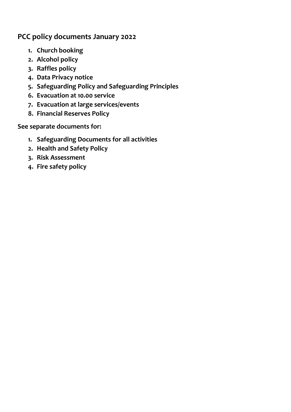## **PCC policy documents January 2022**

- **1. Church booking**
- **2. Alcohol policy**
- **3. Raffles policy**
- **4. Data Privacy notice**
- **5. Safeguarding Policy and Safeguarding Principles**
- **6. Evacuation at 10.00 service**
- **7. Evacuation at large services/events**
- **8. Financial Reserves Policy**

**See separate documents for:**

- **1. Safeguarding Documents for all activities**
- **2. Health and Safety Policy**
- **3. Risk Assessment**
- **4. Fire safety policy**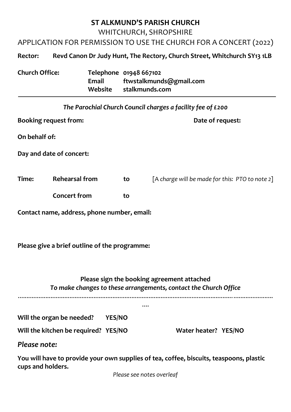## **ST ALKMUND'S PARISH CHURCH** WHITCHURCH, SHROPSHIRE

APPLICATION FOR PERMISSION TO USE THE CHURCH FOR A CONCERT (2022)

## **Rector: Revd Canon Dr Judy Hunt, The Rectory, Church Street, Whitchurch SY13 1LB**

| <b>Church Office:</b> |       | Telephone 01948 667102  |
|-----------------------|-------|-------------------------|
|                       | Email | ftwstalkmunds@gmail.com |
|                       |       | Website stalkmunds.com  |

|                              |                          |    | The Parochial Church Council charges a facility fee of £200 |  |
|------------------------------|--------------------------|----|-------------------------------------------------------------|--|
| <b>Booking request from:</b> |                          |    | Date of request:                                            |  |
| On behalf of:                |                          |    |                                                             |  |
|                              | Day and date of concert: |    |                                                             |  |
| Time:                        | <b>Rehearsal from</b>    | to | [A charge will be made for this: PTO to note 2]             |  |
|                              | <b>Concert from</b>      | to |                                                             |  |

**Contact name, address, phone number, email:**

**Please give a brief outline of the programme:**

## **Please sign the booking agreement attached** *To make changes to these arrangements, contact the Church Office*

....

....................................................................................................................................................

**Will the organ be needed? YES/NO**

**Will the kitchen be required? YES/NO Water heater? YES/NO**

*Please note:*

**You will have to provide your own supplies of tea, coffee, biscuits, teaspoons, plastic cups and holders.**

*Please see notes overleaf*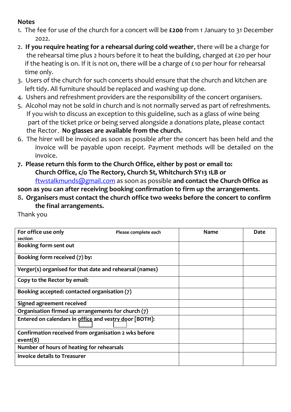## **Notes**

- 1. The fee for use of the church for a concert will be **£200** from 1 January to 31 December 2022.
- 2. **If you require heating for a rehearsal during cold weather**, there will be a charge for the rehearsal time plus 2 hours before it to heat the building, charged at £20 per hour if the heating is on. If it is not on, there will be a charge of £10 per hour for rehearsal time only.
- 3. Users of the church for such concerts should ensure that the church and kitchen are left tidy. All furniture should be replaced and washing up done.
- 4. Ushers and refreshment providers are the responsibility of the concert organisers.
- 5. Alcohol may not be sold in church and is not normally served as part of refreshments. If you wish to discuss an exception to this guideline, such as a glass of wine being part of the ticket price or being served alongside a donations plate, please contact the Rector**. No glasses are available from the church.**
- 6. The hirer will be invoiced as soon as possible after the concert has been held and the invoice will be payable upon receipt. Payment methods will be detailed on the invoice.
- **7. Please return this form to the Church Office, either by post or email to: Church Office, c/o The Rectory, Church St, Whitchurch SY13 1LB or** [ftwstalkmunds@gmail.com](mailto:ftwstalkmunds@gmail.com) as soon as possible **and contact the Church Office as**

**soon as you can after receiving booking confirmation to firm up the arrangements**.

8**. Organisers must contact the church office two weeks before the concert to confirm the final arrangements.**

Thank you

| For office use only<br>section                                   | Please complete each | <b>Name</b> | Date |
|------------------------------------------------------------------|----------------------|-------------|------|
| Booking form sent out                                            |                      |             |      |
| Booking form received (7) by:                                    |                      |             |      |
| Verger(s) organised for that date and rehearsal (names)          |                      |             |      |
| Copy to the Rector by email:                                     |                      |             |      |
| Booking accepted: contacted organisation (7)                     |                      |             |      |
| <b>Signed agreement received</b>                                 |                      |             |      |
| Organisation firmed up arrangements for church (7)               |                      |             |      |
| Entered on calendars in office and vestry door [BOTH]:           |                      |             |      |
| Confirmation received from organisation 2 wks before<br>event(8) |                      |             |      |
| Number of hours of heating for rehearsals                        |                      |             |      |
| <b>Invoice details to Treasurer</b>                              |                      |             |      |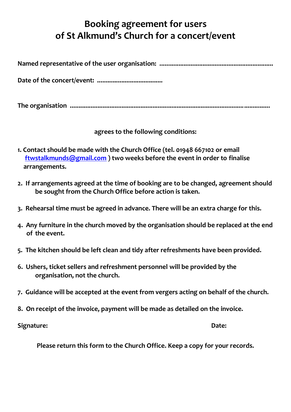## **Booking agreement for users of St Alkmund's Church for a concert/event**

|--|--|

**Date of the concert/event: ......................................**

**The organisation ....................................................................................................................**

**agrees to the following conditions:**

- **1. Contact should be made with the Church Office (tel. 01948 667102 or email [ftwstalkmunds@gmail.com](mailto:ftwstalkmunds@gmail.com) ) two weeks before the event in order to finalise arrangements.**
- **2. If arrangements agreed at the time of booking are to be changed, agreement should be sought from the Church Office before action is taken.**
- **3. Rehearsal time must be agreed in advance. There will be an extra charge for this.**
- **4. Any furniture in the church moved by the organisation should be replaced at the end of the event.**
- **5. The kitchen should be left clean and tidy after refreshments have been provided.**
- **6. Ushers, ticket sellers and refreshment personnel will be provided by the organisation, not the church.**
- **7. Guidance will be accepted at the event from vergers acting on behalf of the church.**
- **8. On receipt of the invoice, payment will be made as detailed on the invoice.**

**Signature: Date:**

**Please return this form to the Church Office. Keep a copy for your records.**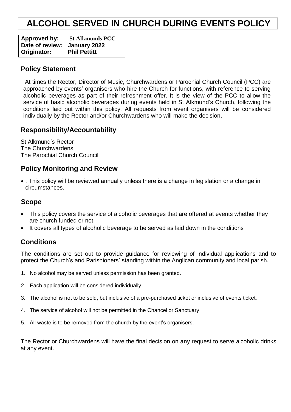## **ALCOHOL SERVED IN CHURCH DURING EVENTS POLICY**

**Approved by: St Alkmunds PCC Date of review: January 2022 Originator: Phil Pettitt** 

### **Policy Statement**

At times the Rector, Director of Music, Churchwardens or Parochial Church Council (PCC) are approached by events' organisers who hire the Church for functions, with reference to serving alcoholic beverages as part of their refreshment offer. It is the view of the PCC to allow the service of basic alcoholic beverages during events held in St Alkmund's Church, following the conditions laid out within this policy. All requests from event organisers will be considered individually by the Rector and/or Churchwardens who will make the decision.

## **Responsibility/Accountability**

St Alkmund's Rector The Churchwardens The Parochial Church Council

## **Policy Monitoring and Review**

 . This policy will be reviewed annually unless there is a change in legislation or a change in circumstances.

## **Scope**

- This policy covers the service of alcoholic beverages that are offered at events whether they are church funded or not.
- It covers all types of alcoholic beverage to be served as laid down in the conditions

## **Conditions**

The conditions are set out to provide guidance for reviewing of individual applications and to protect the Church's and Parishioners' standing within the Anglican community and local parish.

- 1. No alcohol may be served unless permission has been granted.
- 2. Each application will be considered individually
- 3. The alcohol is not to be sold, but inclusive of a pre-purchased ticket or inclusive of events ticket.
- 4. The service of alcohol will not be permitted in the Chancel or Sanctuary
- 5. All waste is to be removed from the church by the event's organisers.

The Rector or Churchwardens will have the final decision on any request to serve alcoholic drinks at any event.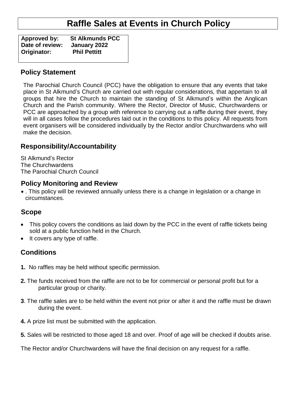## **Raffle Sales at Events in Church Policy**

**Approved by: St Alkmunds PCC Date of review: January 2022 Originator:** 

## **Policy Statement**

The Parochial Church Council (PCC) have the obligation to ensure that any events that take place in St Alkmund's Church are carried out with regular considerations, that appertain to all groups that hire the Church to maintain the standing of St Alkmund's within the Anglican Church and the Parish community. Where the Rector, Director of Music, Churchwardens or PCC are approached by a group with reference to carrying out a raffle during their event, they will in all cases follow the procedures laid out in the conditions to this policy. All requests from event organisers will be considered individually by the Rector and/or Churchwardens who will make the decision.

## **Responsibility/Accountability**

St Alkmund's Rector The Churchwardens The Parochial Church Council

## **Policy Monitoring and Review**

 . This policy will be reviewed annually unless there is a change in legislation or a change in circumstances.

## **Scope**

- This policy covers the conditions as laid down by the PCC in the event of raffle tickets being sold at a public function held in the Church.
- It covers any type of raffle.

## **Conditions**

- **1.** No raffles may be held without specific permission.
- **2.** The funds received from the raffle are not to be for commercial or personal profit but for a particular group or charity.
- **3**. The raffle sales are to be held within the event not prior or after it and the raffle must be drawn during the event.
- **4.** A prize list must be submitted with the application.
- **5.** Sales will be restricted to those aged 18 and over. Proof of age will be checked if doubts arise.

The Rector and/or Churchwardens will have the final decision on any request for a raffle.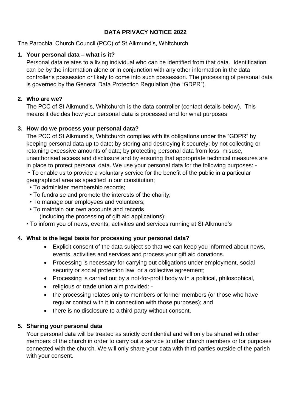## **DATA PRIVACY NOTICE 2022**

The Parochial Church Council (PCC) of St Alkmund's, Whitchurch

### **1. Your personal data – what is it?**

Personal data relates to a living individual who can be identified from that data. Identification can be by the information alone or in conjunction with any other information in the data controller's possession or likely to come into such possession. The processing of personal data is governed by the General Data Protection Regulation (the "GDPR").

### **2. Who are we?**

The PCC of St Alkmund's, Whitchurch is the data controller (contact details below). This means it decides how your personal data is processed and for what purposes.

## **3. How do we process your personal data?**

The PCC of St Alkmund's, Whitchurch complies with its obligations under the "GDPR" by keeping personal data up to date; by storing and destroying it securely; by not collecting or retaining excessive amounts of data; by protecting personal data from loss, misuse, unauthorised access and disclosure and by ensuring that appropriate technical measures are in place to protect personal data. We use your personal data for the following purposes: -

• To enable us to provide a voluntary service for the benefit of the public in a particular geographical area as specified in our constitution;

- To administer membership records;
- To fundraise and promote the interests of the charity;
- To manage our employees and volunteers;
- To maintain our own accounts and records

(including the processing of gift aid applications);

• To inform you of news, events, activities and services running at St Alkmund's

## **4. What is the legal basis for processing your personal data?**

- Explicit consent of the data subject so that we can keep you informed about news, events, activities and services and process your gift aid donations.
- Processing is necessary for carrying out obligations under employment, social security or social protection law, or a collective agreement;
- Processing is carried out by a not-for-profit body with a political, philosophical,
- religious or trade union aim provided: -
- the processing relates only to members or former members (or those who have regular contact with it in connection with those purposes); and
- there is no disclosure to a third party without consent.

## **5. Sharing your personal data**

Your personal data will be treated as strictly confidential and will only be shared with other members of the church in order to carry out a service to other church members or for purposes connected with the church. We will only share your data with third parties outside of the parish with your consent.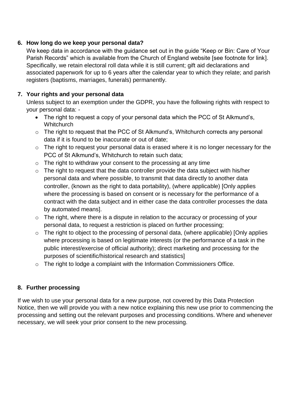## **6. How long do we keep your personal data?**

We keep data in accordance with the guidance set out in the guide "Keep or Bin: Care of Your Parish Records" which is available from the Church of England website [see footnote for link]. Specifically, we retain electoral roll data while it is still current; gift aid declarations and associated paperwork for up to 6 years after the calendar year to which they relate; and parish registers (baptisms, marriages, funerals) permanently.

### **7. Your rights and your personal data**

Unless subject to an exemption under the GDPR, you have the following rights with respect to your personal data: -

- The right to request a copy of your personal data which the PCC of St Alkmund's, **Whitchurch**
- o The right to request that the PCC of St Alkmund's, Whitchurch corrects any personal data if it is found to be inaccurate or out of date;
- o The right to request your personal data is erased where it is no longer necessary for the PCC of St Alkmund's, Whitchurch to retain such data;
- $\circ$  The right to withdraw your consent to the processing at any time
- o The right to request that the data controller provide the data subject with his/her personal data and where possible, to transmit that data directly to another data controller, (known as the right to data portability), (where applicable) [Only applies where the processing is based on consent or is necessary for the performance of a contract with the data subject and in either case the data controller processes the data by automated means].
- $\circ$  The right, where there is a dispute in relation to the accuracy or processing of your personal data, to request a restriction is placed on further processing;
- o The right to object to the processing of personal data, (where applicable) [Only applies where processing is based on legitimate interests (or the performance of a task in the public interest/exercise of official authority); direct marketing and processing for the purposes of scientific/historical research and statistics]
- o The right to lodge a complaint with the Information Commissioners Office.

## **8. Further processing**

If we wish to use your personal data for a new purpose, not covered by this Data Protection Notice, then we will provide you with a new notice explaining this new use prior to commencing the processing and setting out the relevant purposes and processing conditions. Where and whenever necessary, we will seek your prior consent to the new processing.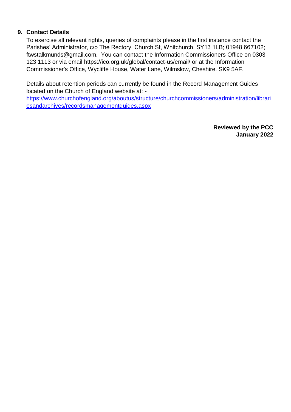#### **9. Contact Details**

To exercise all relevant rights, queries of complaints please in the first instance contact the Parishes' Administrator, c/o The Rectory, Church St, Whitchurch, SY13 1LB; 01948 667102; ftwstalkmunds@gmail.com. You can contact the Information Commissioners Office on 0303 123 1113 or via email https://ico.org.uk/global/contact-us/email/ or at the Information Commissioner's Office, Wycliffe House, Water Lane, Wilmslow, Cheshire. SK9 5AF.

Details about retention periods can currently be found in the Record Management Guides located on the Church of England website at: -

[https://www.churchofengland.org/aboutus/structure/churchcommissioners/administration/librari](https://www.churchofengland.org/aboutus/structure/churchcommissioners/administration/librariesandarchives/recordsmanagementguides.aspx) [esandarchives/recordsmanagementguides.aspx](https://www.churchofengland.org/aboutus/structure/churchcommissioners/administration/librariesandarchives/recordsmanagementguides.aspx)

> **Reviewed by the PCC January 2022**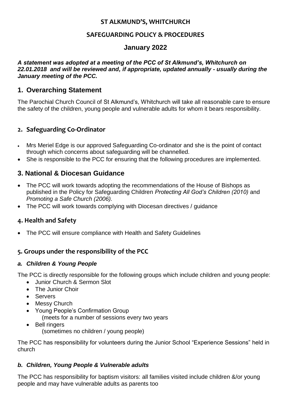#### **ST ALKMUND'S, WHITCHURCH**

### **SAFEGUARDING POLICY & PROCEDURES**

## **January 2022**

#### *A statement was adopted at a meeting of the PCC of St Alkmund's, Whitchurch on 22.01.2018 and will be reviewed and, if appropriate, updated annually - usually during the January meeting of the PCC.*

## **1. Overarching Statement**

The Parochial Church Council of St Alkmund's, Whitchurch will take all reasonable care to ensure the safety of the children, young people and vulnerable adults for whom it bears responsibility.

## **2. Safeguarding Co-Ordinator**

- Mrs Meriel Edge is our approved Safeguarding Co-ordinator and she is the point of contact through which concerns about safeguarding will be channelled.
- She is responsible to the PCC for ensuring that the following procedures are implemented.

## **3. National & Diocesan Guidance**

- The PCC will work towards adopting the recommendations of the House of Bishops as published in the Policy for Safeguarding Children *Protecting All God's Children (2010)* and *Promoting a Safe Church (2006).*
- The PCC will work towards complying with Diocesan directives / guidance

## **4. Health and Safety**

The PCC will ensure compliance with Health and Safety Guidelines

## **5. Groups under the responsibility of the PCC**

#### *a. Children & Young People*

The PCC is directly responsible for the following groups which include children and young people:

- Junior Church & Sermon Slot
- The Junior Choir
- Servers
- Messy Church
- Young People's Confirmation Group (meets for a number of sessions every two years
- Bell ringers (sometimes no children / young people)

The PCC has responsibility for volunteers during the Junior School "Experience Sessions" held in church

#### *b. Children, Young People & Vulnerable adults*

The PCC has responsibility for baptism visitors: all families visited include children &/or young people and may have vulnerable adults as parents too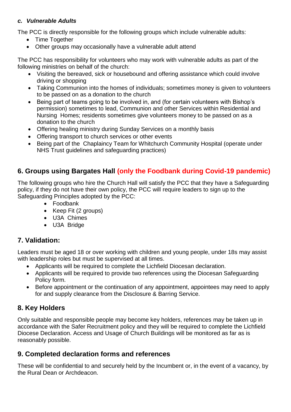#### *c. Vulnerable Adults*

The PCC is directly responsible for the following groups which include vulnerable adults:

- Time Together
- Other groups may occasionally have a vulnerable adult attend

The PCC has responsibility for volunteers who may work with vulnerable adults as part of the following ministries on behalf of the church:

- Visiting the bereaved, sick or housebound and offering assistance which could involve driving or shopping
- Taking Communion into the homes of individuals; sometimes money is given to volunteers to be passed on as a donation to the church
- Being part of teams going to be involved in, and (for certain volunteers with Bishop's permission) sometimes to lead, Communion and other Services within Residential and Nursing Homes; residents sometimes give volunteers money to be passed on as a donation to the church
- Offering healing ministry during Sunday Services on a monthly basis
- Offering transport to church services or other events
- Being part of the Chaplaincy Team for Whitchurch Community Hospital (operate under NHS Trust guidelines and safeguarding practices)

## **6. Groups using Bargates Hall (only the Foodbank during Covid-19 pandemic)**

The following groups who hire the Church Hall will satisfy the PCC that they have a Safeguarding policy, if they do not have their own policy, the PCC will require leaders to sign up to the Safeguarding Principles adopted by the PCC:

- Foodbank
- Keep Fit (2 groups)
- U3A Chimes
- U3A Bridge

## **7. Validation:**

Leaders must be aged 18 or over working with children and young people, under 18s may assist with leadership roles but must be supervised at all times.

- Applicants will be required to complete the Lichfield Diocesan declaration.
- Applicants will be required to provide two references using the Diocesan Safeguarding Policy form.
- Before appointment or the continuation of any appointment, appointees may need to apply for and supply clearance from the Disclosure & Barring Service.

## **8. Key Holders**

Only suitable and responsible people may become key holders, references may be taken up in accordance with the Safer Recruitment policy and they will be required to complete the Lichfield Diocese Declaration. Access and Usage of Church Buildings will be monitored as far as is reasonably possible.

## **9. Completed declaration forms and references**

These will be confidential to and securely held by the Incumbent or, in the event of a vacancy, by the Rural Dean or Archdeacon.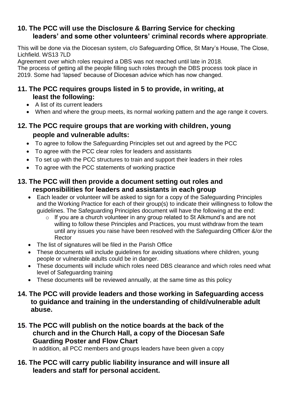## **10. The PCC will use the Disclosure & Barring Service for checking leaders' and some other volunteers' criminal records where appropriate**.

This will be done via the Diocesan system, c/o Safeguarding Office, St Mary's House, The Close, Lichfield. WS13 7LD

Agreement over which roles required a DBS was not reached until late in 2018.

The process of getting all the people filling such roles through the DBS process took place in 2019. Some had 'lapsed' because of Diocesan advice which has now changed.

## **11. The PCC requires groups listed in 5 to provide, in writing, at least the following:**

- A list of its current leaders
- When and where the group meets, its normal working pattern and the age range it covers.

## **12. The PCC require groups that are working with children, young people and vulnerable adults:**

- To agree to follow the Safeguarding Principles set out and agreed by the PCC
- To agree with the PCC clear roles for leaders and assistants
- To set up with the PCC structures to train and support their leaders in their roles
- To agree with the PCC statements of working practice

## **13. The PCC will then provide a document setting out roles and responsibilities for leaders and assistants in each group**

- Each leader or volunteer will be asked to sign for a copy of the Safeguarding Principles and the Working Practice for each of their group(s) to indicate their willingness to follow the guidelines. The Safeguarding Principles document will have the following at the end:
	- o If you are a church volunteer in any group related to St Alkmund's and are not willing to follow these Principles and Practices, you must withdraw from the team until any issues you raise have been resolved with the Safeguarding Officer &/or the Rector
- The list of signatures will be filed in the Parish Office
- These documents will include guidelines for avoiding situations where children, young people or vulnerable adults could be in danger.
- These documents will include which roles need DBS clearance and which roles need what level of Safeguarding training
- These documents will be reviewed annually, at the same time as this policy

## **14. The PCC will provide leaders and those working in Safeguarding access to guidance and training in the understanding of child/vulnerable adult abuse.**

## **15. The PCC will publish on the notice boards at the back of the church and in the Church Hall, a copy of the Diocesan Safe Guarding Poster and Flow Chart**

In addition, all PCC members and groups leaders have been given a copy

## **16. The PCC will carry public liability insurance and will insure all leaders and staff for personal accident.**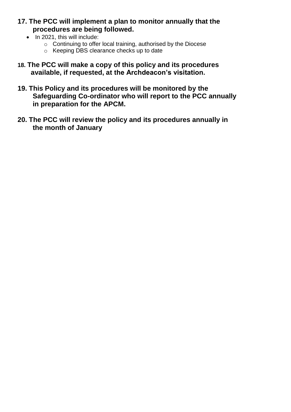## **17. The PCC will implement a plan to monitor annually that the procedures are being followed.**

- $\bullet$  In 2021, this will include:
	- $\circ$  Continuing to offer local training, authorised by the Diocese
	- o Keeping DBS clearance checks up to date
- **18. The PCC will make a copy of this policy and its procedures available, if requested, at the Archdeacon's visitation.**
- **19. This Policy and its procedures will be monitored by the Safeguarding Co-ordinator who will report to the PCC annually in preparation for the APCM.**
- **20. The PCC will review the policy and its procedures annually in the month of January**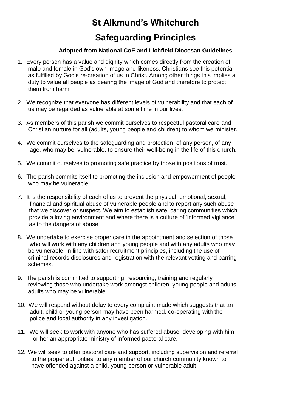# **St Alkmund's Whitchurch Safeguarding Principles**

#### **Adopted from National CoE and Lichfield Diocesan Guidelines**

- 1. Every person has a value and dignity which comes directly from the creation of male and female in God's own image and likeness. Christians see this potential as fulfilled by God's re-creation of us in Christ. Among other things this implies a duty to value all people as bearing the image of God and therefore to protect them from harm.
- 2. We recognize that everyone has different levels of vulnerability and that each of us may be regarded as vulnerable at some time in our lives.
- 3. As members of this parish we commit ourselves to respectful pastoral care and Christian nurture for all (adults, young people and children) to whom we minister.
- 4. We commit ourselves to the safeguarding and protection of any person, of any age, who may be vulnerable, to ensure their well-being in the life of this church.
- 5. We commit ourselves to promoting safe practice by those in positions of trust.
- 6. The parish commits itself to promoting the inclusion and empowerment of people who may be vulnerable.
- 7. It is the responsibility of each of us to prevent the physical, emotional, sexual, financial and spiritual abuse of vulnerable people and to report any such abuse that we discover or suspect. We aim to establish safe, caring communities which provide a loving environment and where there is a culture of 'informed vigilance' as to the dangers of abuse
- 8. We undertake to exercise proper care in the appointment and selection of those who will work with any children and young people and with any adults who may be vulnerable, in line with safer recruitment principles, including the use of criminal records disclosures and registration with the relevant vetting and barring schemes.
- 9. The parish is committed to supporting, resourcing, training and regularly reviewing those who undertake work amongst children, young people and adults adults who may be vulnerable.
- 10.We will respond without delay to every complaint made which suggests that an adult, child or young person may have been harmed, co-operating with the police and local authority in any investigation.
- 11. We will seek to work with anyone who has suffered abuse, developing with him or her an appropriate ministry of informed pastoral care.
- 12. We will seek to offer pastoral care and support, including supervision and referral to the proper authorities, to any member of our church community known to have offended against a child, young person or vulnerable adult.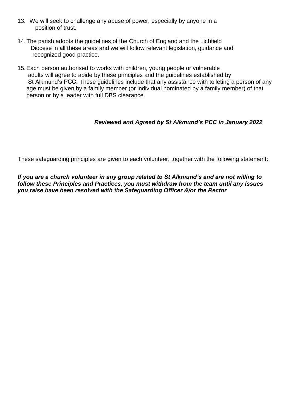- 13. We will seek to challenge any abuse of power, especially by anyone in a position of trust.
- 14.The parish adopts the guidelines of the Church of England and the Lichfield Diocese in all these areas and we will follow relevant legislation, guidance and recognized good practice.
- 15.Each person authorised to works with children, young people or vulnerable adults will agree to abide by these principles and the guidelines established by St Alkmund's PCC. These guidelines include that any assistance with toileting a person of any age must be given by a family member (or individual nominated by a family member) of that person or by a leader with full DBS clearance.

#### *Reviewed and Agreed by St Alkmund's PCC in January 2022*

These safeguarding principles are given to each volunteer, together with the following statement:

*If you are a church volunteer in any group related to St Alkmund's and are not willing to follow these Principles and Practices, you must withdraw from the team until any issues you raise have been resolved with the Safeguarding Officer &/or the Rector*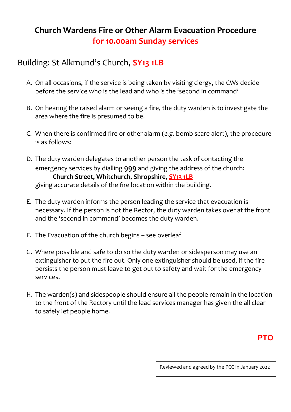## **Church Wardens Fire or Other Alarm Evacuation Procedure for 10.00am Sunday services**

## Building: St Alkmund's Church, **SY13 1LB**

- A. On all occasions, if the service is being taken by visiting clergy, the CWs decide before the service who is the lead and who is the 'second in command'
- B. On hearing the raised alarm or seeing a fire, the duty warden is to investigate the area where the fire is presumed to be.
- C. When there is confirmed fire or other alarm (*e.g.* bomb scare alert), the procedure is as follows:
- D. The duty warden delegates to another person the task of contacting the emergency services by dialling **999** and giving the address of the church: **Church Street, Whitchurch, Shropshire, SY13 1LB** giving accurate details of the fire location within the building.
- E. The duty warden informs the person leading the service that evacuation is necessary. If the person is not the Rector, the duty warden takes over at the front and the 'second in command' becomes the duty warden.
- F. The Evacuation of the church begins see overleaf
- G. Where possible and safe to do so the duty warden or sidesperson may use an extinguisher to put the fire out. Only one extinguisher should be used, if the fire persists the person must leave to get out to safety and wait for the emergency services.
- H. The warden(s) and sidespeople should ensure all the people remain in the location to the front of the Rectory until the lead services manager has given the all clear to safely let people home.

## **PTO**

Reviewed and agreed by the PCC in January 2022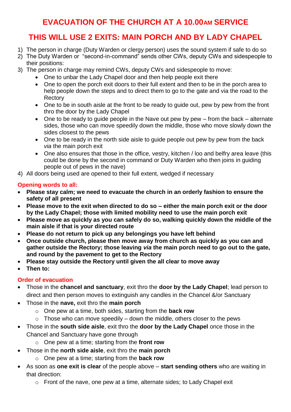## **EVACUATION OF THE CHURCH AT A 10.00AM SERVICE**

## **THIS WILL USE 2 EXITS: MAIN PORCH AND BY LADY CHAPEL**

- 1) The person in charge (Duty Warden or clergy person) uses the sound system if safe to do so
- 2) The Duty Warden or "second-in-command" sends other CWs, deputy CWs and sidespeople to their positions:
- 3) The person in charge may remind CWs, deputy CWs and sidespeople to move:
	- One to unbar the Lady Chapel door and then help people exit there
	- One to open the porch exit doors to their full extent and then to be in the porch area to help people down the steps and to direct them to go to the gate and via the road to the Rectory
	- One to be in south aisle at the front to be ready to quide out, pew by pew from the front thro the door by the Lady Chapel
	- $\bullet$  One to be ready to quide people in the Nave out pew by pew from the back alternate sides, those who can move speedily down the middle, those who move slowly down the sides closest to the pews
	- One to be ready in the north side aisle to guide people out pew by pew from the back *via* the main porch exit
	- One also ensures that those in the office, vestry, kitchen / loo and belfry area leave (this could be done by the second in command or Duty Warden who then joins in guiding people out of pews in the nave)

4) All doors being used are opened to their full extent, wedged if necessary

## **Opening words to all:**

- **Please stay calm; we need to evacuate the church in an orderly fashion to ensure the safety of all present**
- **Please move to the exit when directed to do so – either the main porch exit or the door by the Lady Chapel; those with limited mobility need to use the main porch exit**
- **Please move as quickly as you can safely do so, walking quickly down the middle of the main aisle if that is your directed route**
- **Please do not return to pick up any belongings you have left behind**
- **Once outside church, please then move away from church as quickly as you can and gather outside the Rectory; those leaving** *via* **the main porch need to go out to the gate, and round by the pavement to get to the Rectory**
- **Please stay outside the Rectory until given the all clear to move away**
- **Then to:**

## **Order of evacuation**

- Those in the **chancel and sanctuary**, exit thro the **door by the Lady Chapel**; lead person to direct and then person moves to extinguish any candles in the Chancel &/or Sanctuary
- Those in the **nave,** exit thro the **main porch**
	- o One pew at a time, both sides, starting from the **back row**
	- $\circ$  Those who can move speedily down the middle, others closer to the pews
- Those in the **south side aisle**, exit thro the **door by the Lady Chapel** once those in the Chancel and Sanctuary have gone through
	- o One pew at a time; starting from the **front row**
- Those in the **north side aisle**, exit thro the **main porch**
	- o One pew at a time; starting from the **back row**
- As soon as **one exit is clear** of the people above **start sending others** who are waiting in that direction:
	- o Front of the nave, one pew at a time, alternate sides; to Lady Chapel exit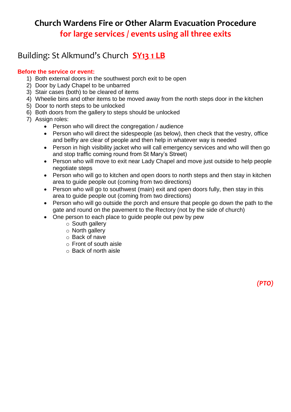## **Church Wardens Fire or Other Alarm Evacuation Procedure for large services / events using all three exits**

## Building: St Alkmund's Church **SY13 1 LB**

#### **Before the service or event:**

- 1) Both external doors in the southwest porch exit to be open
- 2) Door by Lady Chapel to be unbarred
- 3) Stair cases (both) to be cleared of items
- 4) Wheelie bins and other items to be moved away from the north steps door in the kitchen
- 5) Door to north steps to be unlocked
- 6) Both doors from the gallery to steps should be unlocked
- 7) Assign roles:
	- Person who will direct the congregation / audience
	- Person who will direct the sidespeople (as below), then check that the vestry, office and belfry are clear of people and then help in whatever way is needed
	- Person in high visibility jacket who will call emergency services and who will then go and stop traffic coming round from St Mary's Street)
	- Person who will move to exit near Lady Chapel and move just outside to help people negotiate steps
	- Person who will go to kitchen and open doors to north steps and then stay in kitchen area to guide people out (coming from two directions)
	- Person who will go to southwest (main) exit and open doors fully, then stay in this area to guide people out (coming from two directions)
	- Person who will go outside the porch and ensure that people go down the path to the gate and round on the pavement to the Rectory (not by the side of church)

*(PTO)*

- One person to each place to quide people out pew by pew
	- o South gallery
	- o North gallery
	- o Back of nave
	- o Front of south aisle
	- o Back of north aisle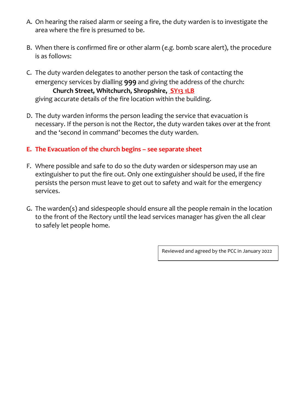- A. On hearing the raised alarm or seeing a fire, the duty warden is to investigate the area where the fire is presumed to be.
- B. When there is confirmed fire or other alarm (*e.g.* bomb scare alert), the procedure is as follows:
- C. The duty warden delegates to another person the task of contacting the emergency services by dialling **999** and giving the address of the church: **Church Street, Whitchurch, Shropshire, SY13 1LB** giving accurate details of the fire location within the building.
- D. The duty warden informs the person leading the service that evacuation is necessary. If the person is not the Rector, the duty warden takes over at the front and the 'second in command' becomes the duty warden.

## **E. The Evacuation of the church begins – see separate sheet**

- F. Where possible and safe to do so the duty warden or sidesperson may use an extinguisher to put the fire out. Only one extinguisher should be used, if the fire persists the person must leave to get out to safety and wait for the emergency services.
- G. The warden(s) and sidespeople should ensure all the people remain in the location to the front of the Rectory until the lead services manager has given the all clear to safely let people home.

Reviewed and agreed by the PCC in January 2022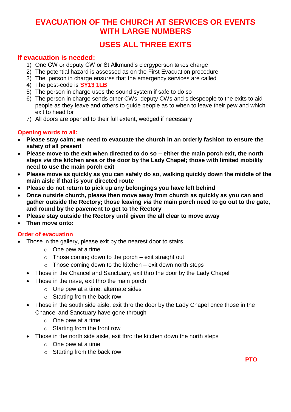## **EVACUATION OF THE CHURCH AT SERVICES OR EVENTS WITH LARGE NUMBERS**

## **USES ALL THREE EXITS**

## **If evacuation is needed:**

- 1) One CW or deputy CW or St Alkmund's clergyperson takes charge
- 2) The potential hazard is assessed as on the First Evacuation procedure
- 3) The person in charge ensures that the emergency services are called
- 4) The post-code is **SY13 1LB**
- 5) The person in charge uses the sound system if safe to do so
- 6) The person in charge sends other CWs, deputy CWs and sidespeople to the exits to aid people as they leave and others to guide people as to when to leave their pew and which exit to head for
- 7) All doors are opened to their full extent, wedged if necessary

#### **Opening words to all:**

- **Please stay calm; we need to evacuate the church in an orderly fashion to ensure the safety of all present**
- **Please move to the exit when directed to do so – either the main porch exit, the north steps** *via* **the kitchen area or the door by the Lady Chapel; those with limited mobility need to use the main porch exit**
- **Please move as quickly as you can safely do so, walking quickly down the middle of the main aisle if that is your directed route**
- **Please do not return to pick up any belongings you have left behind**
- **Once outside church, please then move away from church as quickly as you can and gather outside the Rectory; those leaving** *via* **the main porch need to go out to the gate, and round by the pavement to get to the Rectory**
- **Please stay outside the Rectory until given the all clear to move away**
- **Then move onto:**

#### **Order of evacuation**

- Those in the gallery, please exit by the nearest door to stairs
	- o One pew at a time
	- $\circ$  Those coming down to the porch exit straight out
	- $\circ$  Those coming down to the kitchen exit down north steps
	- Those in the Chancel and Sanctuary, exit thro the door by the Lady Chapel
	- Those in the nave, exit thro the main porch
		- o One pew at a time, alternate sides
		- o Starting from the back row
	- Those in the south side aisle, exit thro the door by the Lady Chapel once those in the Chancel and Sanctuary have gone through
		- $\circ$  One pew at a time
		- $\circ$  Starting from the front row
	- Those in the north side aisle, exit thro the kitchen down the north steps
		- $\circ$  One pew at a time
		- o Starting from the back row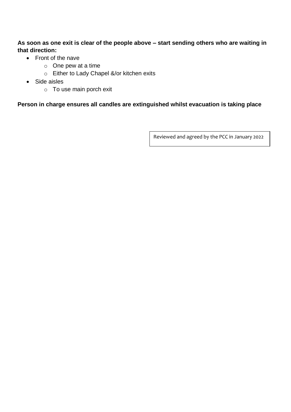**As soon as one exit is clear of the people above – start sending others who are waiting in that direction:**

- Front of the nave
	- o One pew at a time
	- o Either to Lady Chapel &/or kitchen exits
- Side aisles
	- o To use main porch exit

#### **Person in charge ensures all candles are extinguished whilst evacuation is taking place**

Reviewed and agreed by the PCC in January 2022